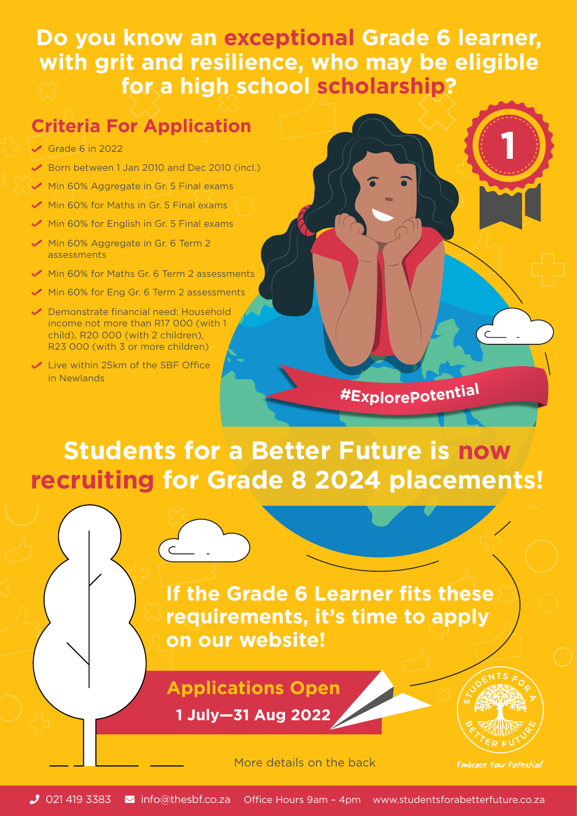#### **Do you know an exceptional Grade 6 learner, with grit and resilience, who may be eligible for a high school scholarship?**

#### **Criteria For Application**

- $\sqrt{G}$  Grade 6 in 2022
- Born between 1 Jan 2010 and Dec 2010 (incl.)
- Min 60% Aggregate in Gr. 5 Final exams
- Min 60% for Maths in Gr. 5 Final exams
- Min 60% for English in Gr. 5 Final exams
- Min 60% Aggregate in Gr. 6 Term 2 assessments
- Min 60% for Maths Gr. 6 Term 2 assessments
- Min 60% for Eng Gr. 6 Term 2 assessments
- ◆ Demonstrate financial need: Household income not more than R17 000 (with 1 child), R20 000 (with 2 children), R23 000 (with 3 or more children)
- **◆ Live within 25km of the SBF Office** in Newlands

### **#ExplorePotentia<sup>l</sup>**

## **Students for a Better Future is now recruiting for Grade 8 2024 placements!**

**If the Grade 6 Learner fits these requirements, it's time to apply on our website!**

#### **Applications Open**

**1 July—31 Aug 2022**

More details on the back

Embrace Your Potential